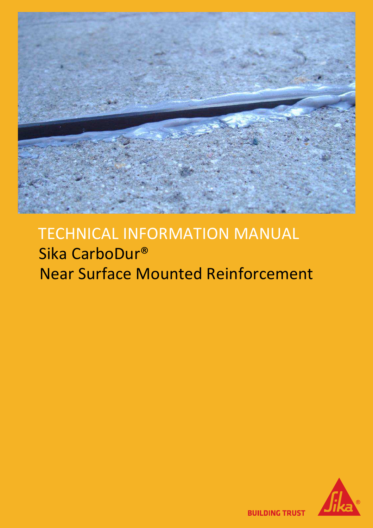

# TECHNICAL INFORMATION MANUAL Sika CarboDur® Near Surface Mounted Reinforcement

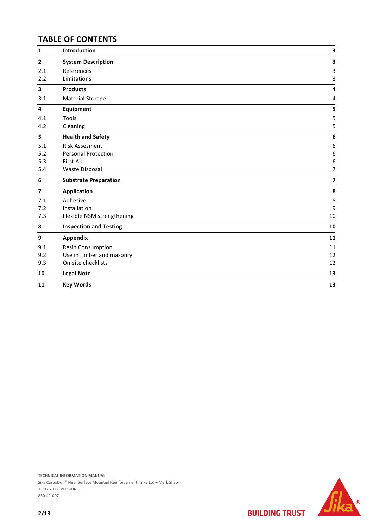# **TABLE OF CONTENTS**

| $\mathbf{1}$   | Introduction                  | 3                       |
|----------------|-------------------------------|-------------------------|
| $\mathbf{2}$   | <b>System Description</b>     | 3                       |
| 2.1            | References                    | 3                       |
| 2.2            | Limitations                   | 3                       |
| 3              | <b>Products</b>               | 4                       |
| 3.1            | <b>Material Storage</b>       | 4                       |
| 4              | Equipment                     | 5                       |
| 4.1            | Tools                         | 5                       |
| 4.2            | Cleaning                      | 5                       |
| 5              | <b>Health and Safety</b>      | 6                       |
| 5.1            | <b>Risk Assesment</b>         | $\boldsymbol{6}$        |
| 5.2            | Personal Protection           | 6                       |
| 5.3            | First Aid                     | 6                       |
| 5.4            | <b>Waste Disposal</b>         | $\overline{7}$          |
| 6              | <b>Substrate Preparation</b>  | $\overline{\mathbf{z}}$ |
| $\overline{7}$ | <b>Application</b>            | 8                       |
| 7.1            | Adhesive                      | 8                       |
| 7.2            | Installation                  | 9                       |
| 7.3            | Flexible NSM strengthening    | 10                      |
| 8              | <b>Inspection and Testing</b> | 10                      |
| 9              | Appendix                      | 11                      |
| 9.1            | Resin Consumption             | 11                      |
| 9.2            | Use in timber and masonry     | 12                      |
| 9.3            | On-site checklists            | 12                      |
| 10             | <b>Legal Note</b>             | 13                      |
| 11             | <b>Key Words</b>              | 13                      |



Sika CarboDur ® Near Surface Mounted Reinforcement Sika Ltd – Mark Shaw 11.07.2017, VERSION 1 850-41-007

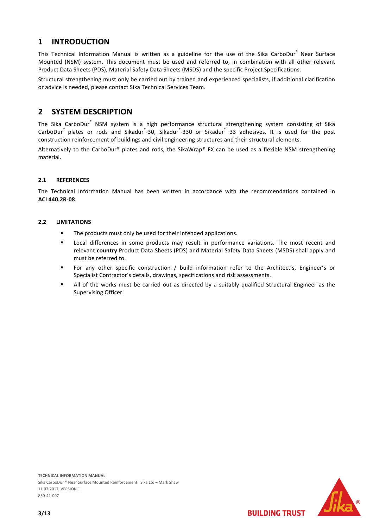# **1 INTRODUCTION**

This Technical Information Manual is written as a guideline for the use of the Sika CarboDur<sup>®</sup> Near Surface Mounted (NSM) system. This document must be used and referred to, in combination with all other relevant Product Data Sheets (PDS), Material Safety Data Sheets (MSDS) and the specific Project Specifications.

Structural strengthening must only be carried out by trained and experienced specialists, if additional clarification or advice is needed, please contact Sika Technical Services Team.

# **2 SYSTEM DESCRIPTION**

The Sika CarboDur<sup>®</sup> NSM system is a high performance structural strengthening system consisting of Sika CarboDur<sup>®</sup> plates or rods and Sikadur<sup>®</sup>-30, Sikadur<sup>®</sup>-330 or Sikadur<sup>®</sup> 33 adhesives. It is used for the post construction reinforcement of buildings and civil engineering structures and their structural elements.

Alternatively to the CarboDur® plates and rods, the SikaWrap® FX can be used as a flexible NSM strengthening material.

# **2.1 REFERENCES**

The Technical Information Manual has been written in accordance with the recommendations contained in **ACI 440.2R-08**.

# **2.2 LIMITATIONS**

- The products must only be used for their intended applications.
- Local differences in some products may result in performance variations. The most recent and relevant **country** Product Data Sheets (PDS) and Material Safety Data Sheets (MSDS) shall apply and must be referred to.
- For any other specific construction / build information refer to the Architect's, Engineer's or Specialist Contractor's details, drawings, specifications and risk assessments.
- All of the works must be carried out as directed by a suitably qualified Structural Engineer as the Supervising Officer.

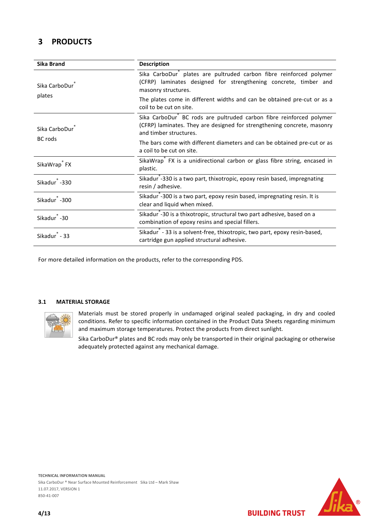# **3 PRODUCTS**

| <b>Sika Brand</b>                                                                                                                                                   | <b>Description</b>                                                                                                                                                       |  |
|---------------------------------------------------------------------------------------------------------------------------------------------------------------------|--------------------------------------------------------------------------------------------------------------------------------------------------------------------------|--|
| Sika CarboDur                                                                                                                                                       | Sika CarboDur plates are pultruded carbon fibre reinforced polymer<br>(CFRP) laminates designed for strengthening concrete, timber and<br>masonry structures.            |  |
| plates                                                                                                                                                              | The plates come in different widths and can be obtained pre-cut or as a<br>coil to be cut on site.                                                                       |  |
| Sika CarboDur                                                                                                                                                       | Sika CarboDur BC rods are pultruded carbon fibre reinforced polymer<br>(CFRP) laminates. They are designed for strengthening concrete, masonry<br>and timber structures. |  |
| <b>BC</b> rods                                                                                                                                                      | The bars come with different diameters and can be obtained pre-cut or as<br>a coil to be cut on site.                                                                    |  |
| SikaWrap <sup>®</sup> FX is a unidirectional carbon or glass fibre string, encased in<br>SikaWrap <sup>®</sup> FX<br>plastic.                                       |                                                                                                                                                                          |  |
| Sikadur -330                                                                                                                                                        | Sikadur <sup>"</sup> -330 is a two part, thixotropic, epoxy resin based, impregnating<br>resin / adhesive.                                                               |  |
| Sikadur -300                                                                                                                                                        | Sikadur <sup>7</sup> -300 is a two part, epoxy resin based, impregnating resin. It is<br>clear and liquid when mixed.                                                    |  |
| Sikadur <sup>"</sup> -30 is a thixotropic, structural two part adhesive, based on a<br>Sikadur <sup>®</sup> -30<br>combination of epoxy resins and special fillers. |                                                                                                                                                                          |  |
| Sikadur <sup>5</sup> - 33                                                                                                                                           | Sikadur <sup>"</sup> - 33 is a solvent-free, thixotropic, two part, epoxy resin-based,<br>cartridge gun applied structural adhesive.                                     |  |

For more detailed information on the products, refer to the corresponding PDS.

# **3.1 MATERIAL STORAGE**



Materials must be stored properly in undamaged original sealed packaging, in dry and cooled conditions. Refer to specific information contained in the Product Data Sheets regarding minimum and maximum storage temperatures. Protect the products from direct sunlight.

Sika CarboDur® plates and BC rods may only be transported in their original packaging or otherwise adequately protected against any mechanical damage.

**TECHNICAL INFORMATION MANUAL** Sika CarboDur ® Near Surface Mounted Reinforcement Sika Ltd – Mark Shaw 11.07.2017, VERSION 1

**BUILDING TRUST** 

850-41-007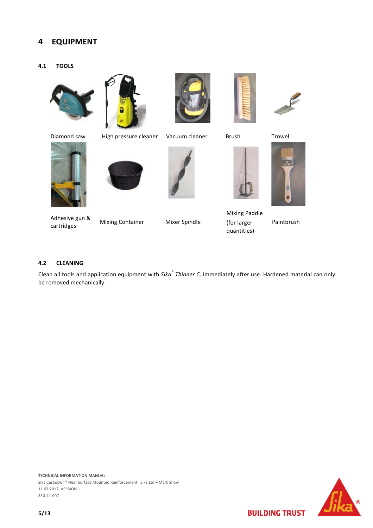# **4 EQUIPMENT**

**4.1 TOOLS** 







Addresse guit a Mixing Container Mixer Spindle<br>cartridges

Diamond saw High pressure cleaner Vacuum cleaner Brush Trowel









Mixing Paddle (for larger



quantities)

Paintbrush

# **4.2 CLEANING**

Adhesive gun &

Clean all tools and application equipment with *Sika® Thinner C,* immediately after use. Hardened material can only be removed mechanically.

**TECHNICAL INFORMATION MANUAL** Sika CarboDur ® Near Surface Mounted Reinforcement Sika Ltd – Mark Shaw 11.07.2017, VERSION 1 850-41-007

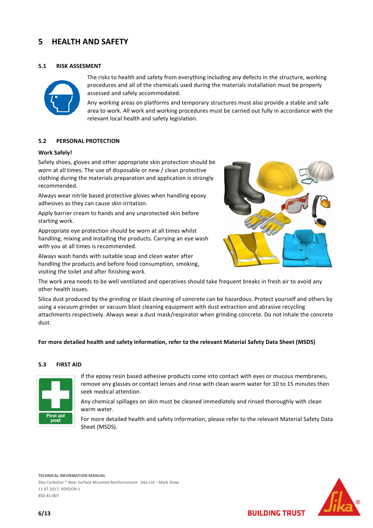# **5 HEALTH AND SAFETY**

# **5.1 RISK ASSESMENT**



The risks to health and safety from everything including any defects in the structure, working procedures and all of the chemicals used during the materials installation must be properly assessed and safely accommodated.

Any working areas on platforms and temporary structures must also provide a stable and safe area to work. All work and working procedures must be carried out fully in accordance with the relevant local health and safety legislation.

# **5.2 PERSONAL PROTECTION**

#### **Work Safely!**

Safety shoes, gloves and other appropriate skin protection should be worn at all times. The use of disposable or new / clean protective clothing during the materials preparation and application is strongly recommended.

Always wear nitrile based protective gloves when handling epoxy adhesives as they can cause skin irritation.

Apply barrier cream to hands and any unprotected skin before starting work.

Appropriate eye protection should be worn at all times whilst handling, mixing and installing the products. Carrying an eye wash with you at all times is recommended.

Always wash hands with suitable soap and clean water after handling the products and before food consumption, smoking, visiting the toilet and after finishing work.



The work area needs to be well ventilated and operatives should take frequent breaks in fresh air to avoid any other health issues.

Silica dust produced by the grinding or blast cleaning of concrete can be hazardous. Protect yourself and others by using a vacuum grinder or vacuum blast cleaning equipment with dust extraction and abrasive recycling attachments respectively. Always wear a dust mask/respirator when grinding concrete. Do not inhale the concrete dust.

#### **For more detailed health and safety information, refer to the relevant Material Safety Data Sheet (MSDS)**

#### **5.3 FIRST AID**



If the epoxy resin based adhesive products come into contact with eyes or mucous membranes, remove any glasses or contact lenses and rinse with clean warm water for 10 to 15 minutes then seek medical attention.

Any chemical spillages on skin must be cleaned immediately and rinsed thoroughly with clean warm water.

For more detailed health and safety information, please refer to the relevant Material Safety Data Sheet (MSDS).

**TECHNICAL INFORMATION MANUAL**



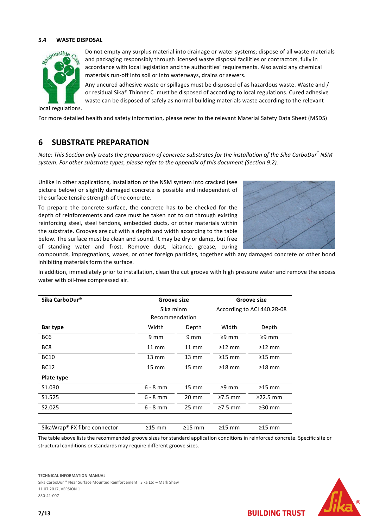#### **5.4 WASTE DISPOSAL**



Do not empty any surplus material into drainage or water systems; dispose of all waste materials and packaging responsibly through licensed waste disposal facilities or contractors, fully in accordance with local legislation and the authorities' requirements. Also avoid any chemical materials run-off into soil or into waterways, drains or sewers.

Any uncured adhesive waste or spillages must be disposed of as hazardous waste. Waste and / or residual Sika® Thinner C must be disposed of according to local regulations. Cured adhesive waste can be disposed of safely as normal building materials waste according to the relevant

local regulations.

For more detailed health and safety information, please refer to the relevant Material Safety Data Sheet (MSDS)

# **6 SUBSTRATE PREPARATION**

*Note: This Section only treats the preparation of concrete substrates for the installation of the Sika CarboDur® NSM system. For other substrate types, please refer to the appendix of this document (Section 9.2).* 

Unlike in other applications, installation of the NSM system into cracked (see picture below) or slightly damaged concrete is possible and independent of the surface tensile strength of the concrete.

To prepare the concrete surface, the concrete has to be checked for the depth of reinforcements and care must be taken not to cut through existing reinforcing steel, steel tendons, embedded ducts, or other materials within the substrate. Grooves are cut with a depth and width according to the table below. The surface must be clean and sound. It may be dry or damp, but free of standing water and frost. Remove dust, laitance, grease, curing



compounds, impregnations, waxes, or other foreign particles, together with any damaged concrete or other bond inhibiting materials form the surface.

In addition, immediately prior to installation, clean the cut groove with high pressure water and remove the excess water with oil-free compressed air.

| Sika CarboDur®                           | <b>Groove size</b> |                   | Groove size                |                |
|------------------------------------------|--------------------|-------------------|----------------------------|----------------|
|                                          | Sika minm          |                   | According to ACI 440.2R-08 |                |
|                                          | Recommendation     |                   |                            |                |
| Bar type                                 | Width              | Depth             | Width                      | Depth          |
| BC <sub>6</sub>                          | 9 mm               | 9 mm              | $\geq$ 9 mm                | $\geq$ 9 mm    |
| BC8                                      | $11 \text{ mm}$    | $11 \text{ mm}$   | $\geq$ 12 mm               | $\geq$ 12 mm   |
| <b>BC10</b>                              | $13 \text{ mm}$    | $13 \text{ mm}$   | $\geq$ 15 mm               | $\geq$ 15 mm   |
| <b>BC12</b>                              | $15 \text{ mm}$    | $15 \, \text{mm}$ | $\geq$ 18 mm               | $\geq$ 18 mm   |
| Plate type                               |                    |                   |                            |                |
| S <sub>1.030</sub>                       | $6 - 8$ mm         | $15 \, \text{mm}$ | $\geq$ 9 mm                | $\geq$ 15 mm   |
| S1.525                                   | $6 - 8$ mm         | $20 \text{ mm}$   | $\geq$ 7.5 mm              | $\geq$ 22.5 mm |
| S2.025                                   | $6 - 8$ mm         | $25 \, \text{mm}$ | $\geq$ 7.5 mm              | $\geq$ 30 mm   |
|                                          |                    |                   |                            |                |
| SikaWrap <sup>®</sup> FX fibre connector | $\geq$ 15 mm       | $\geq$ 15 mm      | $\geq$ 15 mm               | $\geq$ 15 mm   |

The table above lists the recommended groove sizes for standard application conditions in reinforced concrete. Specific site or structural conditions or standards may require different groove sizes.



**BUILDING TRUST** 

#### **TECHNICAL INFORMATION MANUAL**

Sika CarboDur ® Near Surface Mounted Reinforcement Sika Ltd – Mark Shaw 11.07.2017, VERSION 1 850-41-007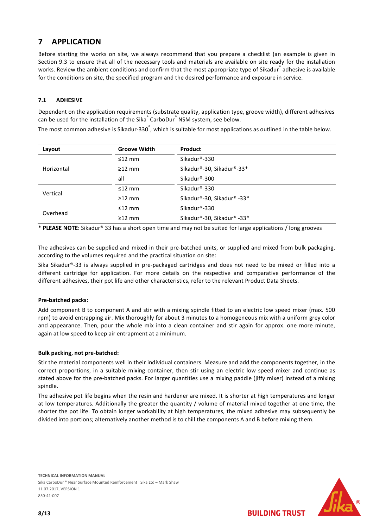# **7 APPLICATION**

Before starting the works on site, we always recommend that you prepare a checklist (an example is given in Section 9.3 to ensure that all of the necessary tools and materials are available on site ready for the installation works. Review the ambient conditions and confirm that the most appropriate type of Sikadur® adhesive is available for the conditions on site, the specified program and the desired performance and exposure in service.

# **7.1 ADHESIVE**

Dependent on the application requirements (substrate quality, application type, groove width), different adhesives can be used for the installation of the Sika $\degree$  CarboDur $\degree$  NSM system, see below.

The most common adhesive is Sikadur-330<sup>°</sup>, which is suitable for most applications as outlined in the table below.

| Layout     | <b>Groove Width</b> | Product                    |  |
|------------|---------------------|----------------------------|--|
|            | $\leq$ 12 mm        | Sikadur®-330               |  |
| Horizontal | $\geq$ 12 mm        | Sikadur®-30, Sikadur®-33*  |  |
|            | all                 | Sikadur®-300               |  |
|            | $≤12$ mm            | Sikadur®-330               |  |
| Vertical   | $\geq$ 12 mm        | Sikadur®-30, Sikadur® -33* |  |
| Overhead   | $≤12$ mm            | Sikadur®-330               |  |
|            | $\geq$ 12 mm        | Sikadur®-30, Sikadur® -33* |  |

\* **PLEASE NOTE**: Sikadur® 33 has a short open time and may not be suited for large applications / long grooves

The adhesives can be supplied and mixed in their pre-batched units, or supplied and mixed from bulk packaging, according to the volumes required and the practical situation on site:

Sika Sikadur®-33 is always supplied in pre-packaged cartridges and does not need to be mixed or filled into a different cartridge for application. For more details on the respective and comparative performance of the different adhesives, their pot life and other characteristics, refer to the relevant Product Data Sheets.

# **Pre-batched packs:**

Add component B to component A and stir with a mixing spindle fitted to an electric low speed mixer (max. 500 rpm) to avoid entrapping air. Mix thoroughly for about 3 minutes to a homogeneous mix with a uniform grey color and appearance. Then, pour the whole mix into a clean container and stir again for approx. one more minute, again at low speed to keep air entrapment at a minimum.

#### **Bulk packing, not pre-batched:**

Stir the material components well in their individual containers. Measure and add the components together, in the correct proportions, in a suitable mixing container, then stir using an electric low speed mixer and continue as stated above for the pre-batched packs. For larger quantities use a mixing paddle (jiffy mixer) instead of a mixing spindle.

The adhesive pot life begins when the resin and hardener are mixed. It is shorter at high temperatures and longer at low temperatures. Additionally the greater the quantity / volume of material mixed together at one time, the shorter the pot life. To obtain longer workability at high temperatures, the mixed adhesive may subsequently be divided into portions; alternatively another method is to chill the components A and B before mixing them.

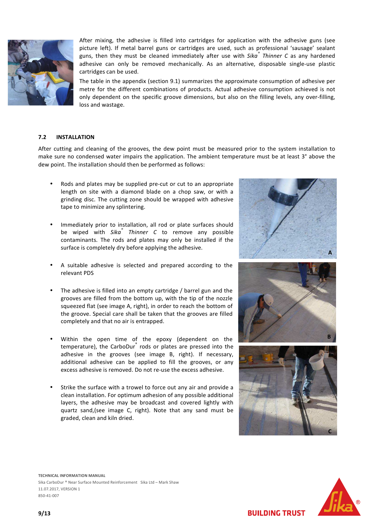

After mixing, the adhesive is filled into cartridges for application with the adhesive guns (see picture left). If metal barrel guns or cartridges are used, such as professional 'sausage' sealant guns, then they must be cleaned immediately after use with *Sika® Thinner C* as any hardened adhesive can only be removed mechanically. As an alternative, disposable single-use plastic cartridges can be used.

The table in the appendix (section 9.1) summarizes the approximate consumption of adhesive per metre for the different combinations of products. Actual adhesive consumption achieved is not only dependent on the specific groove dimensions, but also on the filling levels, any over-filling, loss and wastage.

#### **7.2 INSTALLATION**

After cutting and cleaning of the grooves, the dew point must be measured prior to the system installation to make sure no condensed water impairs the application. The ambient temperature must be at least 3° above the dew point. The installation should then be performed as follows:

- Rods and plates may be supplied pre-cut or cut to an appropriate length on site with a diamond blade on a chop saw, or with a grinding disc. The cutting zone should be wrapped with adhesive tape to minimize any splintering.
- Immediately prior to installation, all rod or plate surfaces should be wiped with *Sika® Thinner C* to remove any possible contaminants. The rods and plates may only be installed if the surface is completely dry before applying the adhesive.
- A suitable adhesive is selected and prepared according to the relevant PDS
- The adhesive is filled into an empty cartridge / barrel gun and the grooves are filled from the bottom up, with the tip of the nozzle squeezed flat (see image A, right), in order to reach the bottom of the groove. Special care shall be taken that the grooves are filled completely and that no air is entrapped.
- Within the open time of the epoxy (dependent on the temperature), the CarboDur<sup>®</sup> rods or plates are pressed into the adhesive in the grooves (see image B, right). If necessary, additional adhesive can be applied to fill the grooves, or any excess adhesive is removed. Do not re-use the excess adhesive.
- Strike the surface with a trowel to force out any air and provide a clean installation. For optimum adhesion of any possible additional layers, the adhesive may be broadcast and covered lightly with quartz sand,(see image C, right). Note that any sand must be graded, clean and kiln dried.







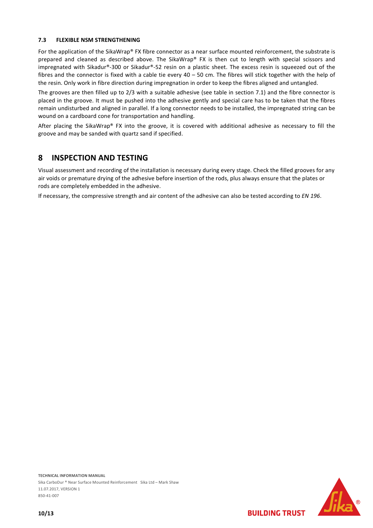# **7.3 FLEXIBLE NSM STRENGTHENING**

For the application of the SikaWrap® FX fibre connector as a near surface mounted reinforcement, the substrate is prepared and cleaned as described above. The SikaWrap® FX is then cut to length with special scissors and impregnated with Sikadur®-300 or Sikadur®-52 resin on a plastic sheet. The excess resin is squeezed out of the fibres and the connector is fixed with a cable tie every 40 – 50 cm. The fibres will stick together with the help of the resin. Only work in fibre direction during impregnation in order to keep the fibres aligned and untangled.

The grooves are then filled up to 2/3 with a suitable adhesive (see table in section 7.1) and the fibre connector is placed in the groove. It must be pushed into the adhesive gently and special care has to be taken that the fibres remain undisturbed and aligned in parallel. If a long connector needs to be installed, the impregnated string can be wound on a cardboard cone for transportation and handling.

After placing the SikaWrap® FX into the groove, it is covered with additional adhesive as necessary to fill the groove and may be sanded with quartz sand if specified.

# **8 INSPECTION AND TESTING**

Visual assessment and recording of the installation is necessary during every stage. Check the filled grooves for any air voids or premature drying of the adhesive before insertion of the rods, plus always ensure that the plates or rods are completely embedded in the adhesive.

If necessary, the compressive strength and air content of the adhesive can also be tested according to *EN 196*.

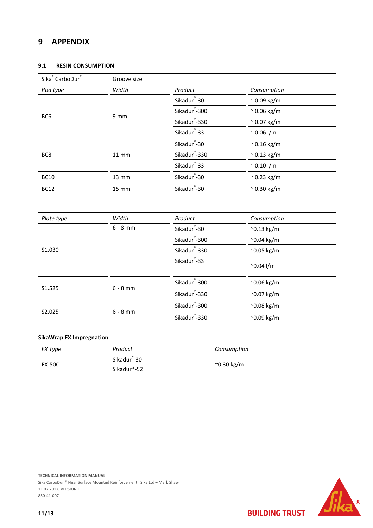# **9 APPENDIX**

# **9.1 RESIN CONSUMPTION**

| Sika <sup>®</sup> CarboDur <sup>®</sup> | Groove size  |                           |                     |  |
|-----------------------------------------|--------------|---------------------------|---------------------|--|
| Rod type                                | Width        | Product                   | Consumption         |  |
|                                         | 9 mm         | Sikadur <sup>®</sup> -30  | $\approx$ 0.09 kg/m |  |
|                                         |              | Sikadur <sup>®</sup> -300 | $\approx$ 0.06 kg/m |  |
| BC <sub>6</sub>                         |              | Sikadur <sup>®</sup> -330 | $\approx$ 0.07 kg/m |  |
|                                         |              | Sikadur <sup>®</sup> -33  | $~^{\sim}$ 0.06 l/m |  |
|                                         | <b>11 mm</b> | Sikadur <sup>®</sup> -30  | $\approx$ 0.16 kg/m |  |
| BC8                                     |              | Sikadur <sup>®</sup> -330 | $\approx$ 0.13 kg/m |  |
|                                         |              | Sikadur <sup>®</sup> -33  | $~^{\sim}$ 0.10 l/m |  |
| <b>BC10</b>                             | 13 mm        | Sikadur <sup>®</sup> -30  | $\approx$ 0.23 kg/m |  |
| <b>BC12</b>                             | <b>15 mm</b> | Sikadur <sup>®</sup> -30  | $\approx$ 0.30 kg/m |  |
|                                         |              |                           |                     |  |
| Plate type                              | Width        | Product                   | Consumption         |  |
|                                         | $6 - 8$ mm   | Sikadur <sup>®</sup> -30  | $^{\sim}$ 0.13 kg/m |  |
|                                         |              | Sikadur <sup>®</sup> -300 | $^{\sim}$ 0.04 kg/m |  |
| S1.030                                  |              | Sikadur <sup>®</sup> -330 | $^{\sim}$ 0.05 kg/m |  |
|                                         |              | Sikadur <sup>®</sup> -33  | $^{\sim}$ 0.04 l/m  |  |
|                                         |              | Sikadur <sup>®</sup> -300 | ~0.06 kg/m          |  |
| S1.525                                  | $6 - 8$ mm   | Sikadur <sup>®</sup> -330 | $^{\sim}$ 0.07 kg/m |  |
|                                         |              | Sikadur <sup>®</sup> -300 | ~0.08 kg/m          |  |
| S2.025                                  | $6 - 8$ mm   | Sikadur <sup>-330</sup>   | ~0.09 kg/m          |  |

# **SikaWrap FX Impregnation**

| FX Type       | Product                  | Consumption |  |
|---------------|--------------------------|-------------|--|
|               | Sikadur <sup>®</sup> -30 |             |  |
| <b>FX-50C</b> | Sikadur®-52              | ~0.30 kg/m  |  |



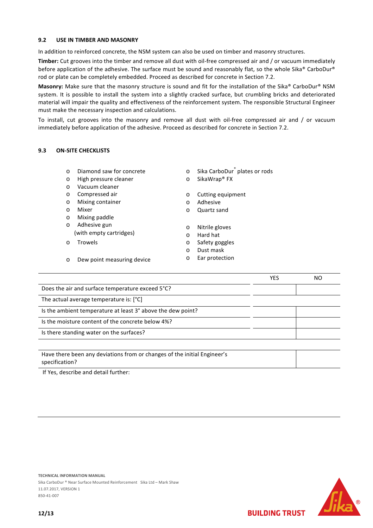### **9.2 USE IN TIMBER AND MASONRY**

In addition to reinforced concrete, the NSM system can also be used on timber and masonry structures.

**Timber:** Cut grooves into the timber and remove all dust with oil-free compressed air and / or vacuum immediately before application of the adhesive. The surface must be sound and reasonably flat, so the whole Sika® CarboDur® rod or plate can be completely embedded. Proceed as described for concrete in Section 7.2.

**Masonry:** Make sure that the masonry structure is sound and fit for the installation of the Sika® CarboDur® NSM system. It is possible to install the system into a slightly cracked surface, but crumbling bricks and deteriorated material will impair the quality and effectiveness of the reinforcement system. The responsible Structural Engineer must make the necessary inspection and calculations.

To install, cut grooves into the masonry and remove all dust with oil-free compressed air and / or vacuum immediately before application of the adhesive. Proceed as described for concrete in Section 7.2.

# **9.3 ON-SITE CHECKLISTS**

- o Diamond saw for concrete
- o High pressure cleaner
- o Vacuum cleaner
- o Compressed air
- o Mixing container
- o Mixer
- o Mixing paddle
- o Adhesive gun (with empty cartridges)

o Dew point measuring device

o Trowels

- o Sika CarboDur<sup>®</sup> plates or rods
- o SikaWrap® FX
- o Cutting equipment
- o Adhesive
- o Quartz sand
- o Nitrile gloves
- o Hard hat
- o Safety goggles
- o Dust mask
- o Ear protection

|                                                                                            | YES | NO |
|--------------------------------------------------------------------------------------------|-----|----|
| Does the air and surface temperature exceed 5°C?                                           |     |    |
| The actual average temperature is: [°C]                                                    |     |    |
| Is the ambient temperature at least 3° above the dew point?                                |     |    |
| Is the moisture content of the concrete below 4%?                                          |     |    |
| Is there standing water on the surfaces?                                                   |     |    |
|                                                                                            |     |    |
| Have there been any deviations from or changes of the initial Engineer's<br>specification? |     |    |

If Yes, describe and detail further: